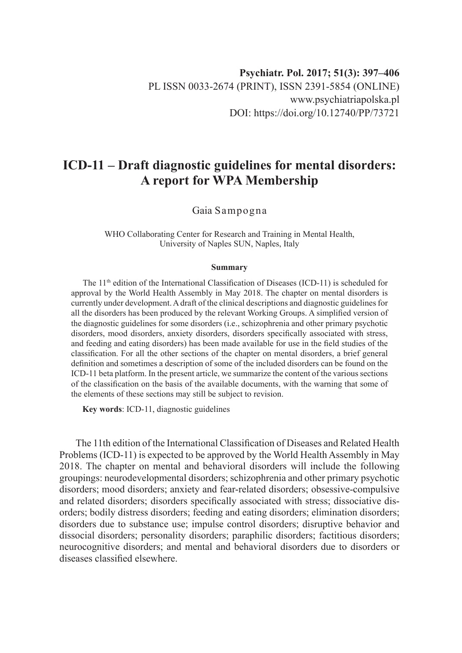## **ICD-11 – Draft diagnostic guidelines for mental disorders: A report for WPA Membership**

Gaia Sampogna

WHO Collaborating Center for Research and Training in Mental Health, University of Naples SUN, Naples, Italy

## **Summary**

The 11<sup>th</sup> edition of the International Classification of Diseases (ICD-11) is scheduled for approval by the World Health Assembly in May 2018. The chapter on mental disorders is currently under development. A draft of the clinical descriptions and diagnostic guidelines for all the disorders has been produced by the relevant Working Groups. A simplified version of the diagnostic guidelines for some disorders (i.e., schizophrenia and other primary psychotic disorders, mood disorders, anxiety disorders, disorders specifically associated with stress, and feeding and eating disorders) has been made available for use in the field studies of the classification. For all the other sections of the chapter on mental disorders, a brief general definition and sometimes a description of some of the included disorders can be found on the ICD-11 beta platform. In the present article, we summarize the content of the various sections of the classification on the basis of the available documents, with the warning that some of the elements of these sections may still be subject to revision.

**Key words**: ICD-11, diagnostic guidelines

The 11th edition of the International Classification of Diseases and Related Health Problems (ICD-11) is expected to be approved by the World Health Assembly in May 2018. The chapter on mental and behavioral disorders will include the following groupings: neurodevelopmental disorders; schizophrenia and other primary psychotic disorders; mood disorders; anxiety and fear-related disorders; obsessive-compulsive and related disorders; disorders specifically associated with stress; dissociative disorders; bodily distress disorders; feeding and eating disorders; elimination disorders; disorders due to substance use; impulse control disorders; disruptive behavior and dissocial disorders; personality disorders; paraphilic disorders; factitious disorders; neurocognitive disorders; and mental and behavioral disorders due to disorders or diseases classified elsewhere.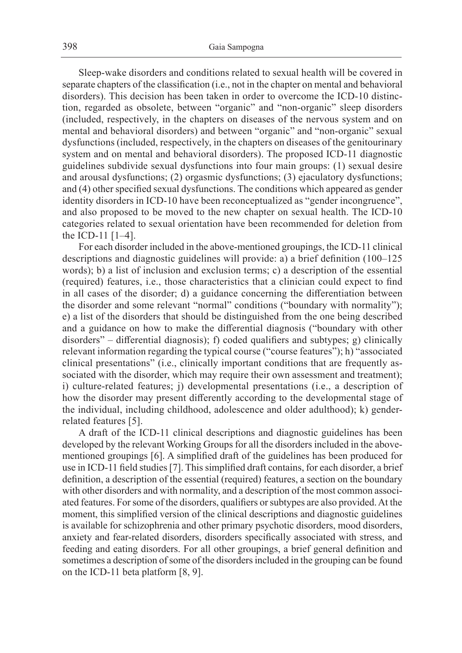Sleep-wake disorders and conditions related to sexual health will be covered in separate chapters of the classification (i.e., not in the chapter on mental and behavioral disorders). This decision has been taken in order to overcome the ICD-10 distinction, regarded as obsolete, between "organic" and "non-organic" sleep disorders (included, respectively, in the chapters on diseases of the nervous system and on mental and behavioral disorders) and between "organic" and "non-organic" sexual dysfunctions (included, respectively, in the chapters on diseases of the genitourinary system and on mental and behavioral disorders). The proposed ICD-11 diagnostic guidelines subdivide sexual dysfunctions into four main groups: (1) sexual desire and arousal dysfunctions; (2) orgasmic dysfunctions; (3) ejaculatory dysfunctions; and (4) other specified sexual dysfunctions. The conditions which appeared as gender identity disorders in ICD-10 have been reconceptualized as "gender incongruence", and also proposed to be moved to the new chapter on sexual health. The ICD-10 categories related to sexual orientation have been recommended for deletion from the ICD-11 [1–4].

For each disorder included in the above-mentioned groupings, the ICD-11 clinical descriptions and diagnostic guidelines will provide: a) a brief definition (100–125 words); b) a list of inclusion and exclusion terms; c) a description of the essential (required) features, i.e., those characteristics that a clinician could expect to find in all cases of the disorder; d) a guidance concerning the differentiation between the disorder and some relevant "normal" conditions ("boundary with normality"); e) a list of the disorders that should be distinguished from the one being described and a guidance on how to make the differential diagnosis ("boundary with other disorders" – differential diagnosis); f) coded qualifiers and subtypes; g) clinically relevant information regarding the typical course ("course features"); h) "associated clinical presentations" (i.e., clinically important conditions that are frequently associated with the disorder, which may require their own assessment and treatment); i) culture-related features; j) developmental presentations (i.e., a description of how the disorder may present differently according to the developmental stage of the individual, including childhood, adolescence and older adulthood); k) genderrelated features [5].

A draft of the ICD-11 clinical descriptions and diagnostic guidelines has been developed by the relevant Working Groups for all the disorders included in the abovementioned groupings [6]. A simplified draft of the guidelines has been produced for use in ICD-11 field studies [7]. This simplified draft contains, for each disorder, a brief definition, a description of the essential (required) features, a section on the boundary with other disorders and with normality, and a description of the most common associated features. For some of the disorders, qualifiers or subtypes are also provided. At the moment, this simplified version of the clinical descriptions and diagnostic guidelines is available for schizophrenia and other primary psychotic disorders, mood disorders, anxiety and fear-related disorders, disorders specifically associated with stress, and feeding and eating disorders. For all other groupings, a brief general definition and sometimes a description of some of the disorders included in the grouping can be found on the ICD-11 beta platform [8, 9].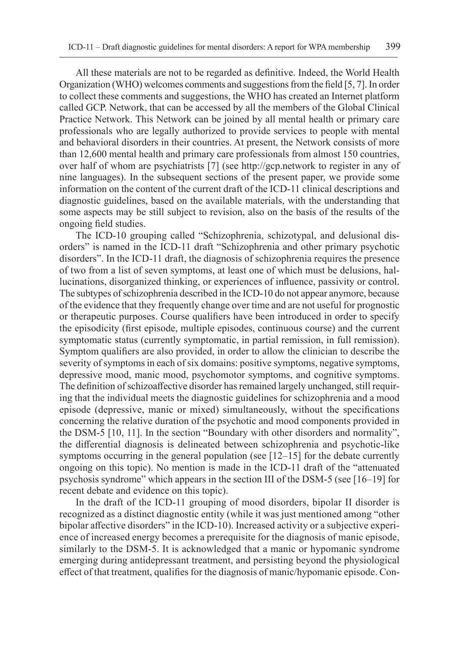All these materials are not to be regarded as definitive. Indeed, the World Health Organization (WHO) welcomes comments and suggestions from the field [5, 7]. In order to collect these comments and suggestions, the WHO has created an Internet platform called GCP. Network, that can be accessed by all the members of the Global Clinical Practice Network. This Network can be joined by all mental health or primary care professionals who are legally authorized to provide services to people with mental and behavioral disorders in their countries. At present, the Network consists of more than 12,600 mental health and primary care professionals from almost 150 countries, over half of whom are psychiatrists [7] (see http://gcp.network to register in any of nine languages). In the subsequent sections of the present paper, we provide some information on the content of the current draft of the ICD-11 clinical descriptions and diagnostic guidelines, based on the available materials, with the understanding that some aspects may be still subject to revision, also on the basis of the results of the ongoing field studies.

The ICD-10 grouping called "Schizophrenia, schizotypal, and delusional disorders" is named in the ICD-11 draft "Schizophrenia and other primary psychotic disorders". In the ICD-11 draft, the diagnosis of schizophrenia requires the presence of two from a list of seven symptoms, at least one of which must be delusions, hallucinations, disorganized thinking, or experiences of influence, passivity or control. The subtypes of schizophrenia described in the ICD-10 do not appear anymore, because of the evidence that they frequently change over time and are not useful for prognostic or therapeutic purposes. Course qualifiers have been introduced in order to specify the episodicity (first episode, multiple episodes, continuous course) and the current symptomatic status (currently symptomatic, in partial remission, in full remission). Symptom qualifiers are also provided, in order to allow the clinician to describe the severity of symptoms in each of six domains: positive symptoms, negative symptoms, depressive mood, manic mood, psychomotor symptoms, and cognitive symptoms. The definition of schizoaffective disorder has remained largely unchanged, still requiring that the individual meets the diagnostic guidelines for schizophrenia and a mood episode (depressive, manic or mixed) simultaneously, without the specifications concerning the relative duration of the psychotic and mood components provided in the DSM-5 [10, 11]. In the section "Boundary with other disorders and normality", the differential diagnosis is delineated between schizophrenia and psychotic-like symptoms occurring in the general population (see  $[12–15]$  for the debate currently ongoing on this topic). No mention is made in the ICD-11 draft of the "attenuated psychosis syndrome" which appears in the section III of the DSM-5 (see [16–19] for recent debate and evidence on this topic).

In the draft of the ICD-11 grouping of mood disorders, bipolar II disorder is recognized as a distinct diagnostic entity (while it was just mentioned among "other bipolar affective disorders" in the ICD-10). Increased activity or a subjective experience of increased energy becomes a prerequisite for the diagnosis of manic episode, similarly to the DSM-5. It is acknowledged that a manic or hypomanic syndrome emerging during antidepressant treatment, and persisting beyond the physiological effect of that treatment, qualifies for the diagnosis of manic/hypomanic episode. Con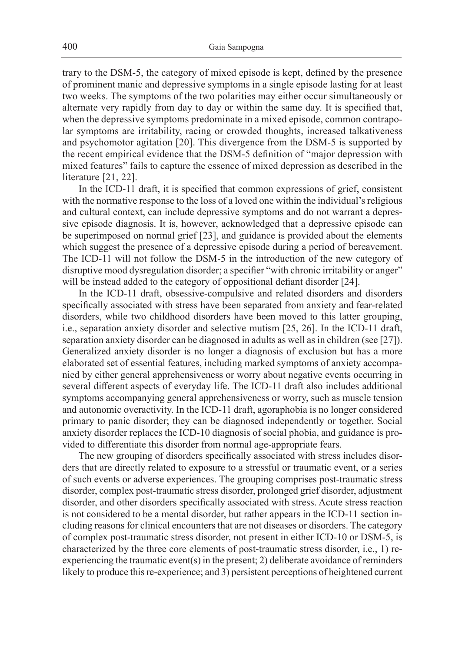trary to the DSM-5, the category of mixed episode is kept, defined by the presence of prominent manic and depressive symptoms in a single episode lasting for at least two weeks. The symptoms of the two polarities may either occur simultaneously or alternate very rapidly from day to day or within the same day. It is specified that, when the depressive symptoms predominate in a mixed episode, common contrapolar symptoms are irritability, racing or crowded thoughts, increased talkativeness and psychomotor agitation [20]. This divergence from the DSM-5 is supported by the recent empirical evidence that the DSM-5 definition of "major depression with mixed features" fails to capture the essence of mixed depression as described in the literature [21, 22].

In the ICD-11 draft, it is specified that common expressions of grief, consistent with the normative response to the loss of a loved one within the individual's religious and cultural context, can include depressive symptoms and do not warrant a depressive episode diagnosis. It is, however, acknowledged that a depressive episode can be superimposed on normal grief [23], and guidance is provided about the elements which suggest the presence of a depressive episode during a period of bereavement. The ICD-11 will not follow the DSM-5 in the introduction of the new category of disruptive mood dysregulation disorder; a specifier "with chronic irritability or anger" will be instead added to the category of oppositional defiant disorder [24].

In the ICD-11 draft, obsessive-compulsive and related disorders and disorders specifically associated with stress have been separated from anxiety and fear-related disorders, while two childhood disorders have been moved to this latter grouping, i.e., separation anxiety disorder and selective mutism [25, 26]. In the ICD-11 draft, separation anxiety disorder can be diagnosed in adults as well as in children (see [27]). Generalized anxiety disorder is no longer a diagnosis of exclusion but has a more elaborated set of essential features, including marked symptoms of anxiety accompanied by either general apprehensiveness or worry about negative events occurring in several different aspects of everyday life. The ICD-11 draft also includes additional symptoms accompanying general apprehensiveness or worry, such as muscle tension and autonomic overactivity. In the ICD-11 draft, agoraphobia is no longer considered primary to panic disorder; they can be diagnosed independently or together. Social anxiety disorder replaces the ICD-10 diagnosis of social phobia, and guidance is provided to differentiate this disorder from normal age-appropriate fears.

The new grouping of disorders specifically associated with stress includes disorders that are directly related to exposure to a stressful or traumatic event, or a series of such events or adverse experiences. The grouping comprises post-traumatic stress disorder, complex post-traumatic stress disorder, prolonged grief disorder, adjustment disorder, and other disorders specifically associated with stress. Acute stress reaction is not considered to be a mental disorder, but rather appears in the ICD-11 section including reasons for clinical encounters that are not diseases or disorders. The category of complex post-traumatic stress disorder, not present in either ICD-10 or DSM-5, is characterized by the three core elements of post-traumatic stress disorder, i.e., 1) reexperiencing the traumatic event(s) in the present; 2) deliberate avoidance of reminders likely to produce this re-experience; and 3) persistent perceptions of heightened current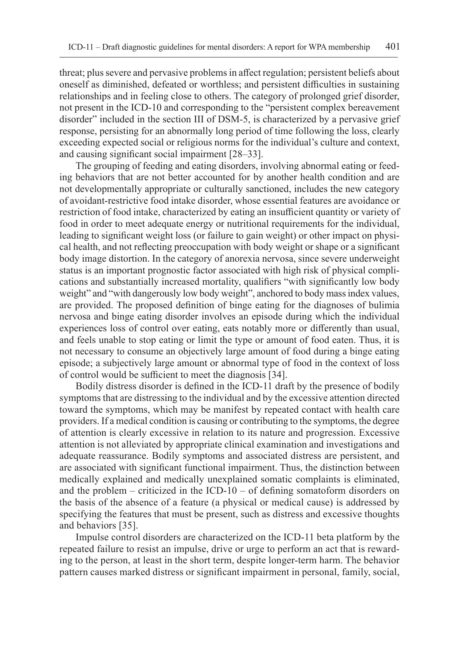threat; plus severe and pervasive problems in affect regulation; persistent beliefs about oneself as diminished, defeated or worthless; and persistent difficulties in sustaining relationships and in feeling close to others. The category of prolonged grief disorder, not present in the ICD-10 and corresponding to the "persistent complex bereavement disorder" included in the section III of DSM-5, is characterized by a pervasive grief response, persisting for an abnormally long period of time following the loss, clearly exceeding expected social or religious norms for the individual's culture and context, and causing significant social impairment [28–33].

The grouping of feeding and eating disorders, involving abnormal eating or feeding behaviors that are not better accounted for by another health condition and are not developmentally appropriate or culturally sanctioned, includes the new category of avoidant-restrictive food intake disorder, whose essential features are avoidance or restriction of food intake, characterized by eating an insufficient quantity or variety of food in order to meet adequate energy or nutritional requirements for the individual, leading to significant weight loss (or failure to gain weight) or other impact on physical health, and not reflecting preoccupation with body weight or shape or a significant body image distortion. In the category of anorexia nervosa, since severe underweight status is an important prognostic factor associated with high risk of physical complications and substantially increased mortality, qualifiers "with significantly low body weight" and "with dangerously low body weight", anchored to body mass index values, are provided. The proposed definition of binge eating for the diagnoses of bulimia nervosa and binge eating disorder involves an episode during which the individual experiences loss of control over eating, eats notably more or differently than usual, and feels unable to stop eating or limit the type or amount of food eaten. Thus, it is not necessary to consume an objectively large amount of food during a binge eating episode; a subjectively large amount or abnormal type of food in the context of loss of control would be sufficient to meet the diagnosis [34].

Bodily distress disorder is defined in the ICD-11 draft by the presence of bodily symptoms that are distressing to the individual and by the excessive attention directed toward the symptoms, which may be manifest by repeated contact with health care providers. If a medical condition is causing or contributing to the symptoms, the degree of attention is clearly excessive in relation to its nature and progression. Excessive attention is not alleviated by appropriate clinical examination and investigations and adequate reassurance. Bodily symptoms and associated distress are persistent, and are associated with significant functional impairment. Thus, the distinction between medically explained and medically unexplained somatic complaints is eliminated, and the problem – criticized in the ICD-10 – of defining somatoform disorders on the basis of the absence of a feature (a physical or medical cause) is addressed by specifying the features that must be present, such as distress and excessive thoughts and behaviors [35].

Impulse control disorders are characterized on the ICD-11 beta platform by the repeated failure to resist an impulse, drive or urge to perform an act that is rewarding to the person, at least in the short term, despite longer-term harm. The behavior pattern causes marked distress or significant impairment in personal, family, social,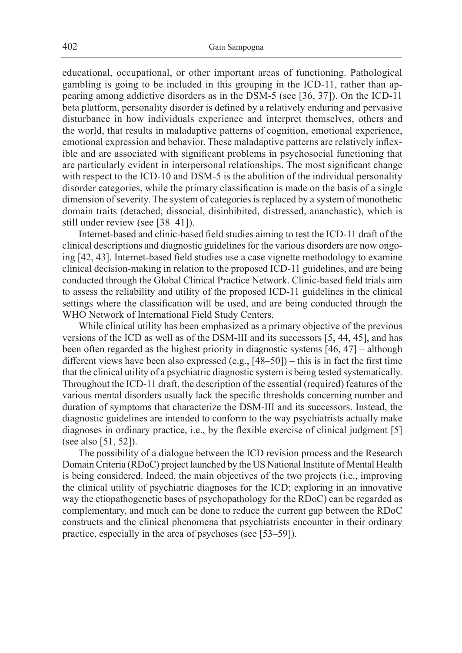educational, occupational, or other important areas of functioning. Pathological gambling is going to be included in this grouping in the ICD-11, rather than appearing among addictive disorders as in the DSM-5 (see [36, 37]). On the ICD-11 beta platform, personality disorder is defined by a relatively enduring and pervasive disturbance in how individuals experience and interpret themselves, others and the world, that results in maladaptive patterns of cognition, emotional experience, emotional expression and behavior. These maladaptive patterns are relatively inflexible and are associated with significant problems in psychosocial functioning that are particularly evident in interpersonal relationships. The most significant change with respect to the ICD-10 and DSM-5 is the abolition of the individual personality disorder categories, while the primary classification is made on the basis of a single dimension of severity. The system of categories is replaced by a system of monothetic domain traits (detached, dissocial, disinhibited, distressed, ananchastic), which is still under review (see [38–41]).

Internet-based and clinic-based field studies aiming to test the ICD-11 draft of the clinical descriptions and diagnostic guidelines for the various disorders are now ongoing [42, 43]. Internet-based field studies use a case vignette methodology to examine clinical decision-making in relation to the proposed ICD-11 guidelines, and are being conducted through the Global Clinical Practice Network. Clinic-based field trials aim to assess the reliability and utility of the proposed ICD-11 guidelines in the clinical settings where the classification will be used, and are being conducted through the WHO Network of International Field Study Centers.

While clinical utility has been emphasized as a primary objective of the previous versions of the ICD as well as of the DSM-III and its successors [5, 44, 45], and has been often regarded as the highest priority in diagnostic systems [46, 47] – although different views have been also expressed (e.g., [48–50]) – this is in fact the first time that the clinical utility of a psychiatric diagnostic system is being tested systematically. Throughout the ICD-11 draft, the description of the essential (required) features of the various mental disorders usually lack the specific thresholds concerning number and duration of symptoms that characterize the DSM-III and its successors. Instead, the diagnostic guidelines are intended to conform to the way psychiatrists actually make diagnoses in ordinary practice, i.e., by the flexible exercise of clinical judgment [5] (see also [51, 52]).

The possibility of a dialogue between the ICD revision process and the Research Domain Criteria (RDoC) project launched by the US National Institute of Mental Health is being considered. Indeed, the main objectives of the two projects (i.e., improving the clinical utility of psychiatric diagnoses for the ICD; exploring in an innovative way the etiopathogenetic bases of psychopathology for the RDoC) can be regarded as complementary, and much can be done to reduce the current gap between the RDoC constructs and the clinical phenomena that psychiatrists encounter in their ordinary practice, especially in the area of psychoses (see [53–59]).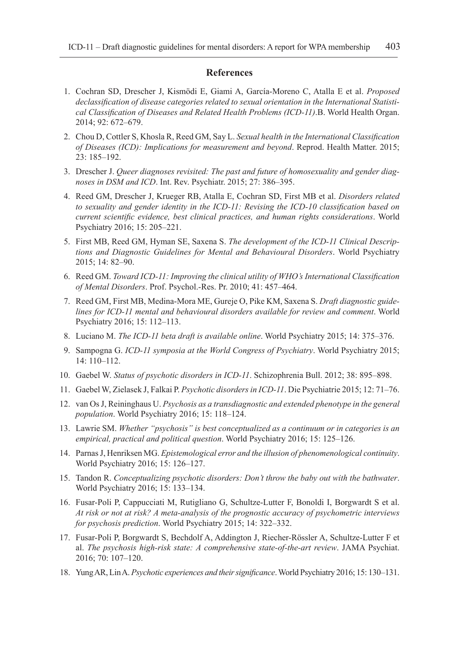## **References**

- 1. Cochran SD, Drescher J, Kismödi E, Giami A, García-Moreno C, Atalla E et al. *Proposed declassification of disease categories related to sexual orientation in the International Statistical Classification of Diseases and Related Health Problems (ICD-11)*.B. World Health Organ. 2014; 92: 672–679.
- 2. Chou D, Cottler S, Khosla R, Reed GM, Say L. *Sexual health in the International Classification of Diseases (ICD): Implications for measurement and beyond*. Reprod. Health Matter. 2015; 23: 185–192.
- 3. Drescher J. *Queer diagnoses revisited: The past and future of homosexuality and gender diagnoses in DSM and ICD*. Int. Rev. Psychiatr. 2015; 27: 386–395.
- 4. Reed GM, Drescher J, Krueger RB, Atalla E, Cochran SD, First MB et al. *Disorders related to sexuality and gender identity in the ICD-11: Revising the ICD-10 classification based on current scientific evidence, best clinical practices, and human rights considerations*. World Psychiatry 2016; 15: 205–221.
- 5. First MB, Reed GM, Hyman SE, Saxena S. *The development of the ICD-11 Clinical Descriptions and Diagnostic Guidelines for Mental and Behavioural Disorders*. World Psychiatry 2015; 14: 82–90.
- 6. Reed GM. *Toward ICD-11: Improving the clinical utility of WHO's International Classification of Mental Disorders*. Prof. Psychol.-Res. Pr. 2010; 41: 457–464.
- 7. Reed GM, First MB, Medina-Mora ME, Gureje O, Pike KM, Saxena S. *Draft diagnostic guidelines for ICD-11 mental and behavioural disorders available for review and comment*. World Psychiatry 2016; 15: 112–113.
- 8. Luciano M. *The ICD-11 beta draft is available online*. World Psychiatry 2015; 14: 375–376.
- 9. Sampogna G. *ICD-11 symposia at the World Congress of Psychiatry*. World Psychiatry 2015; 14: 110–112.
- 10. Gaebel W. *Status of psychotic disorders in ICD-11*. Schizophrenia Bull. 2012; 38: 895–898.
- 11. Gaebel W, Zielasek J, Falkai P. *Psychotic disorders in ICD-11*. Die Psychiatrie 2015; 12: 71–76.
- 12. van Os J, Reininghaus U. *Psychosis as a transdiagnostic and extended phenotype in the general population*. World Psychiatry 2016; 15: 118–124.
- 13. Lawrie SM. *Whether "psychosis" is best conceptualized as a continuum or in categories is an empirical, practical and political question*. World Psychiatry 2016; 15: 125–126.
- 14. Parnas J, Henriksen MG. *Epistemological error and the illusion of phenomenological continuity*. World Psychiatry 2016; 15: 126–127.
- 15. Tandon R. *Conceptualizing psychotic disorders: Don't throw the baby out with the bathwater*. World Psychiatry 2016; 15: 133–134.
- 16. Fusar-Poli P, Cappucciati M, Rutigliano G, Schultze-Lutter F, Bonoldi I, Borgwardt S et al. *At risk or not at risk? A meta-analysis of the prognostic accuracy of psychometric interviews for psychosis prediction*. World Psychiatry 2015; 14: 322–332.
- 17. Fusar-Poli P, Borgwardt S, Bechdolf A, Addington J, Riecher-Rössler A, Schultze-Lutter F et al. *The psychosis high-risk state: A comprehensive state-of-the-art review*. JAMA Psychiat. 2016; 70: 107–120.
- 18. Yung AR, Lin A. *Psychotic experiences and their significance*. World Psychiatry 2016; 15: 130–131.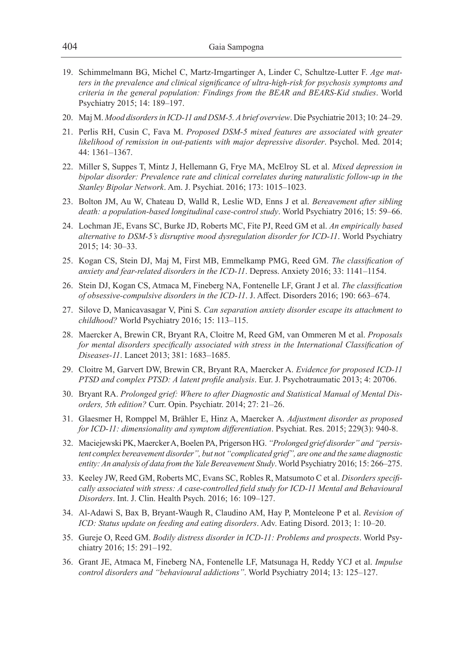- 19. Schimmelmann BG, Michel C, Martz-Irngartinger A, Linder C, Schultze-Lutter F. *Age matters in the prevalence and clinical significance of ultra-high-risk for psychosis symptoms and criteria in the general population: Findings from the BEAR and BEARS-Kid studies*. World Psychiatry 2015; 14: 189–197.
- 20. Maj M. *Mood disorders in ICD-11 and DSM-5. A brief overview*. Die Psychiatrie 2013; 10: 24–29.
- 21. Perlis RH, Cusin C, Fava M. *Proposed DSM-5 mixed features are associated with greater likelihood of remission in out-patients with major depressive disorder*. Psychol. Med. 2014; 44: 1361–1367.
- 22. Miller S, Suppes T, Mintz J, Hellemann G, Frye MA, McElroy SL et al. *Mixed depression in bipolar disorder: Prevalence rate and clinical correlates during naturalistic follow-up in the Stanley Bipolar Network*. Am. J. Psychiat. 2016; 173: 1015–1023.
- 23. Bolton JM, Au W, Chateau D, Walld R, Leslie WD, Enns J et al. *Bereavement after sibling death: a population-based longitudinal case-control study*. World Psychiatry 2016; 15: 59–66.
- 24. Lochman JE, Evans SC, Burke JD, Roberts MC, Fite PJ, Reed GM et al. *An empirically based alternative to DSM-5's disruptive mood dysregulation disorder for ICD-11*. World Psychiatry 2015; 14: 30–33.
- 25. Kogan CS, Stein DJ, Maj M, First MB, Emmelkamp PMG, Reed GM. *The classification of anxiety and fear-related disorders in the ICD-11*. Depress. Anxiety 2016; 33: 1141–1154.
- 26. Stein DJ, Kogan CS, Atmaca M, Fineberg NA, Fontenelle LF, Grant J et al. *The classification of obsessive-compulsive disorders in the ICD-11*. J. Affect. Disorders 2016; 190: 663–674.
- 27. Silove D, Manicavasagar V, Pini S. *Can separation anxiety disorder escape its attachment to childhood?* World Psychiatry 2016; 15: 113–115.
- 28. Maercker A, Brewin CR, Bryant RA, Cloitre M, Reed GM, van Ommeren M et al. *Proposals for mental disorders specifically associated with stress in the International Classification of Diseases-11*. Lancet 2013; 381: 1683–1685.
- 29. Cloitre M, Garvert DW, Brewin CR, Bryant RA, Maercker A. *Evidence for proposed ICD-11 PTSD and complex PTSD: A latent profile analysis*. Eur. J. Psychotraumatic 2013; 4: 20706.
- 30. Bryant RA. *Prolonged grief: Where to after Diagnostic and Statistical Manual of Mental Disorders, 5th edition?* Curr. Opin. Psychiatr. 2014; 27: 21–26.
- 31. Glaesmer H, Romppel M, Brähler E, Hinz A, Maercker A. *Adjustment disorder as proposed for ICD-11: dimensionality and symptom differentiation*. Psychiat. Res. 2015; 229(3): 940-8.
- 32. Maciejewski PK, Maercker A, Boelen PA, Prigerson HG. *"Prolonged grief disorder" and "persistent complex bereavement disorder", but not "complicated grief", are one and the same diagnostic entity: An analysis of data from the Yale Bereavement Study*. World Psychiatry 2016; 15: 266–275.
- 33. Keeley JW, Reed GM, Roberts MC, Evans SC, Robles R, Matsumoto C et al. *Disorders specifically associated with stress: A case-controlled field study for ICD-11 Mental and Behavioural Disorders*. Int. J. Clin. Health Psych. 2016; 16: 109–127.
- 34. Al-Adawi S, Bax B, Bryant-Waugh R, Claudino AM, Hay P, Monteleone P et al. *Revision of ICD: Status update on feeding and eating disorders*. Adv. Eating Disord. 2013; 1: 10–20.
- 35. Gureje O, Reed GM. *Bodily distress disorder in ICD-11: Problems and prospects*. World Psychiatry 2016; 15: 291–192.
- 36. Grant JE, Atmaca M, Fineberg NA, Fontenelle LF, Matsunaga H, Reddy YCJ et al. *Impulse control disorders and "behavioural addictions"*. World Psychiatry 2014; 13: 125–127.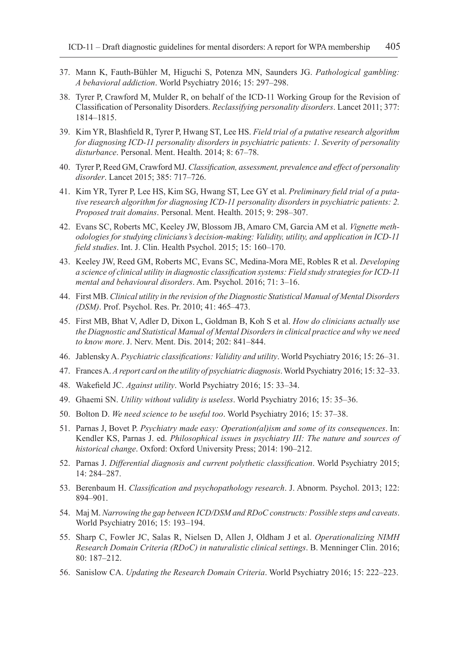- 37. Mann K, Fauth-Bühler M, Higuchi S, Potenza MN, Saunders JG. *Pathological gambling: A behavioral addiction*. World Psychiatry 2016; 15: 297–298.
- 38. Tyrer P, Crawford M, Mulder R, on behalf of the ICD-11 Working Group for the Revision of Classification of Personality Disorders. *Reclassifying personality disorders*. Lancet 2011; 377: 1814–1815.
- 39. Kim YR, Blashfield R, Tyrer P, Hwang ST, Lee HS. *Field trial of a putative research algorithm for diagnosing ICD-11 personality disorders in psychiatric patients: 1. Severity of personality disturbance*. Personal. Ment. Health. 2014; 8: 67–78.
- 40. Tyrer P, Reed GM, Crawford MJ. *Classification, assessment, prevalence and effect of personality disorder*. Lancet 2015; 385: 717–726.
- 41. Kim YR, Tyrer P, Lee HS, Kim SG, Hwang ST, Lee GY et al. *Preliminary field trial of a putative research algorithm for diagnosing ICD-11 personality disorders in psychiatric patients: 2. Proposed trait domains*. Personal. Ment. Health. 2015; 9: 298–307.
- 42. Evans SC, Roberts MC, Keeley JW, Blossom JB, Amaro CM, Garcia AM et al. *Vignette methodologies for studying clinicians's decision-making: Validity, utility, and application in ICD-11 field studies*. Int. J. Clin. Health Psychol. 2015; 15: 160–170.
- 43. Keeley JW, Reed GM, Roberts MC, Evans SC, Medina-Mora ME, Robles R et al. *Developing a science of clinical utility in diagnostic classification systems: Field study strategies for ICD-11 mental and behavioural disorders*. Am. Psychol. 2016; 71: 3–16.
- 44. First MB. *Clinical utility in the revision of the Diagnostic Statistical Manual of Mental Disorders (DSM)*. Prof. Psychol. Res. Pr. 2010; 41: 465–473.
- 45. First MB, Bhat V, Adler D, Dixon L, Goldman B, Koh S et al. *How do clinicians actually use the Diagnostic and Statistical Manual of Mental Disorders in clinical practice and why we need to know more*. J. Nerv. Ment. Dis. 2014; 202: 841–844.
- 46. Jablensky A. *Psychiatric classifications: Validity and utility*. World Psychiatry 2016; 15: 26–31.
- 47. Frances A. *A report card on the utility of psychiatric diagnosis*. World Psychiatry 2016; 15: 32–33.
- 48. Wakefield JC. *Against utility*. World Psychiatry 2016; 15: 33–34.
- 49. Ghaemi SN. *Utility without validity is useless*. World Psychiatry 2016; 15: 35–36.
- 50. Bolton D. *We need science to be useful too*. World Psychiatry 2016; 15: 37–38.
- 51. Parnas J, Bovet P. *Psychiatry made easy: Operation(al)ism and some of its consequences*. In: Kendler KS, Parnas J. ed. *Philosophical issues in psychiatry III: The nature and sources of historical change*. Oxford: Oxford University Press; 2014: 190–212.
- 52. Parnas J. *Differential diagnosis and current polythetic classification*. World Psychiatry 2015; 14: 284–287.
- 53. Berenbaum H. *Classification and psychopathology research*. J. Abnorm. Psychol. 2013; 122: 894–901.
- 54. Maj M. *Narrowing the gap between ICD/DSM and RDoC constructs: Possible steps and caveats*. World Psychiatry 2016; 15: 193–194.
- 55. Sharp C, Fowler JC, Salas R, Nielsen D, Allen J, Oldham J et al. *Operationalizing NIMH Research Domain Criteria (RDoC) in naturalistic clinical settings*. B. Menninger Clin. 2016; 80: 187–212.
- 56. Sanislow CA. *Updating the Research Domain Criteria*. World Psychiatry 2016; 15: 222–223.